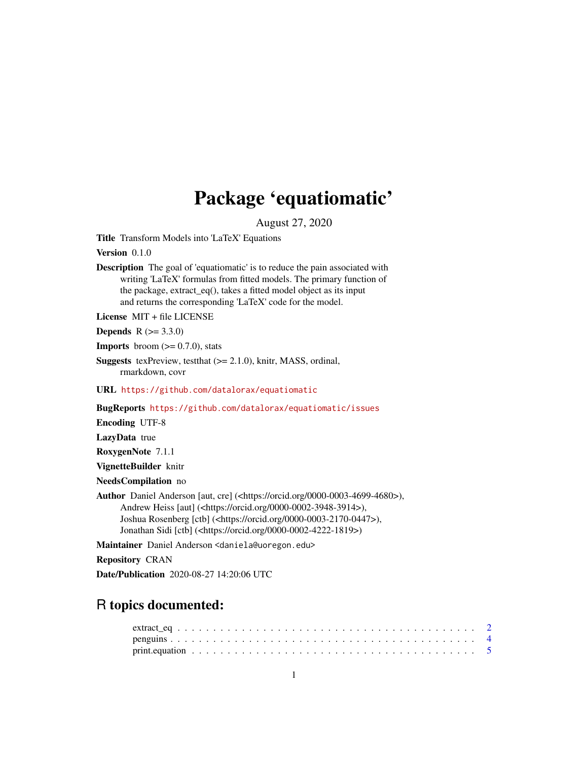## Package 'equatiomatic'

August 27, 2020

<span id="page-0-0"></span>Title Transform Models into 'LaTeX' Equations

Version 0.1.0

Description The goal of 'equatiomatic' is to reduce the pain associated with writing 'LaTeX' formulas from fitted models. The primary function of the package, extract\_eq(), takes a fitted model object as its input and returns the corresponding 'LaTeX' code for the model.

License MIT + file LICENSE

**Depends**  $R (= 3.3.0)$ 

**Imports** broom  $(>= 0.7.0)$ , stats

Suggests texPreview, testthat (>= 2.1.0), knitr, MASS, ordinal, rmarkdown, covr

URL <https://github.com/datalorax/equatiomatic>

BugReports <https://github.com/datalorax/equatiomatic/issues>

Encoding UTF-8

LazyData true

RoxygenNote 7.1.1

VignetteBuilder knitr

NeedsCompilation no

Author Daniel Anderson [aut, cre] (<https://orcid.org/0000-0003-4699-4680>), Andrew Heiss [aut] (<https://orcid.org/0000-0002-3948-3914>), Joshua Rosenberg [ctb] (<https://orcid.org/0000-0003-2170-0447>), Jonathan Sidi [ctb] (<https://orcid.org/0000-0002-4222-1819>)

Maintainer Daniel Anderson <daniela@uoregon.edu>

Repository CRAN

Date/Publication 2020-08-27 14:20:06 UTC

### R topics documented: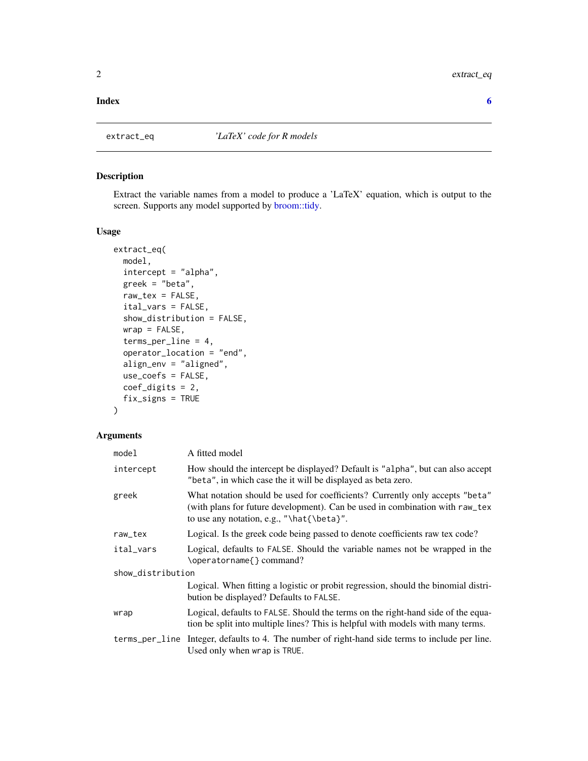#### <span id="page-1-0"></span>**Index** [6](#page-5-0) **6**

<span id="page-1-1"></span>

#### Description

Extract the variable names from a model to produce a 'LaTeX' equation, which is output to the screen. Supports any model supported by [broom::tidy.](#page-0-0)

#### Usage

```
extract_eq(
 model,
  intercept = "alpha",
  greek = "beta",
  raw\_tex = FALSE,ital_vars = FALSE,
  show_distribution = FALSE,
 wrap = FALSE,terms_per_line = 4,
  operator_location = "end",
  align_env = "aligned",
  use_coefs = FALSE,
 coef_digits = 2,
  fix_signs = TRUE
\mathcal{L}
```
#### Arguments

| model             | A fitted model                                                                                                                                                                                            |  |  |  |  |  |
|-------------------|-----------------------------------------------------------------------------------------------------------------------------------------------------------------------------------------------------------|--|--|--|--|--|
| intercept         | How should the intercept be displayed? Default is "alpha", but can also accept<br>"beta", in which case the it will be displayed as beta zero.                                                            |  |  |  |  |  |
| greek             | What notation should be used for coefficients? Currently only accepts "beta"<br>(with plans for future development). Can be used in combination with raw_tex<br>to use any notation, e.g., "\hat{\beta}". |  |  |  |  |  |
| raw_tex           | Logical. Is the greek code being passed to denote coefficients raw tex code?                                                                                                                              |  |  |  |  |  |
| ital_vars         | Logical, defaults to FALSE. Should the variable names not be wrapped in the<br>\operatorname{} command?                                                                                                   |  |  |  |  |  |
| show_distribution |                                                                                                                                                                                                           |  |  |  |  |  |
|                   | Logical. When fitting a logistic or probit regression, should the binomial distri-<br>bution be displayed? Defaults to FALSE.                                                                             |  |  |  |  |  |
| wrap              | Logical, defaults to FALSE. Should the terms on the right-hand side of the equa-<br>tion be split into multiple lines? This is helpful with models with many terms.                                       |  |  |  |  |  |
|                   | terms_per_line Integer, defaults to 4. The number of right-hand side terms to include per line.<br>Used only when wrap is TRUE.                                                                           |  |  |  |  |  |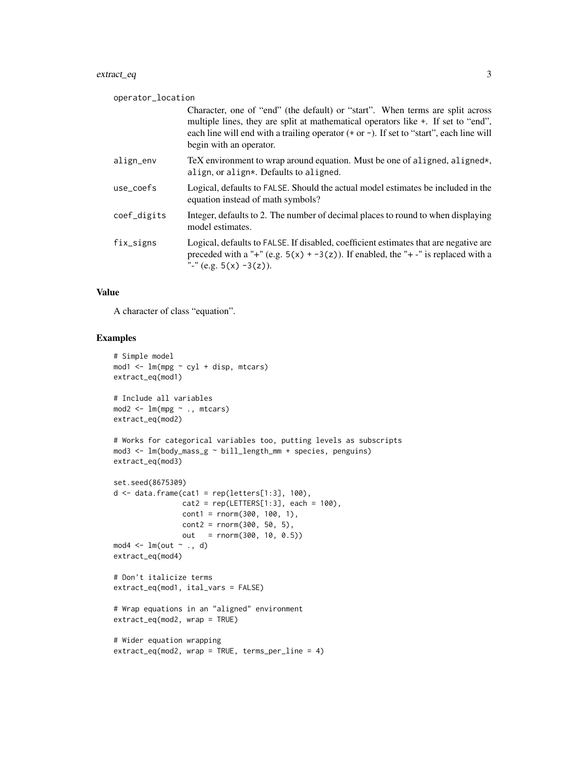#### extract\_eq 3

| operator_location |                                                                                                                                                                                                                                                                                             |
|-------------------|---------------------------------------------------------------------------------------------------------------------------------------------------------------------------------------------------------------------------------------------------------------------------------------------|
|                   | Character, one of "end" (the default) or "start". When terms are split across<br>multiple lines, they are split at mathematical operators like +. If set to "end",<br>each line will end with a trailing operator $(+ or -)$ . If set to "start", each line will<br>begin with an operator. |
| align_env         | TeX environment to wrap around equation. Must be one of aligned, aligned*,<br>align, or align*. Defaults to aligned.                                                                                                                                                                        |
| use_coefs         | Logical, defaults to FALSE. Should the actual model estimates be included in the<br>equation instead of math symbols?                                                                                                                                                                       |
| coef_digits       | Integer, defaults to 2. The number of decimal places to round to when displaying<br>model estimates.                                                                                                                                                                                        |
| fix_signs         | Logical, defaults to FALSE. If disabled, coefficient estimates that are negative are<br>preceded with a "+" (e.g. $5(x)$ + -3(z)). If enabled, the "+-" is replaced with a<br>"-" (e.g. $5(x) -3(z)$ ).                                                                                     |

#### Value

A character of class "equation".

#### Examples

```
# Simple model
mod1 <- lm(mpg ~ cyl + disp, mtcars)
extract_eq(mod1)
# Include all variables
mod2 <- lm(mpg ~ ., mtcars)
extract_eq(mod2)
# Works for categorical variables too, putting levels as subscripts
mod3 <- lm(body_mass_g ~ bill_length_mm + species, penguins)
extract_eq(mod3)
set.seed(8675309)
d \leftarrow data . frame(cat1 = rep(leftters[1:3], 100),cat2 = rep(LETTERS[1:3], each = 100),cont1 = rnorm(300, 100, 1),cont2 = rnorm(300, 50, 5),
                out = rnorm(300, 10, 0.5))
mod4 \leq Im(out \sim ., d)extract_eq(mod4)
# Don't italicize terms
extract_eq(mod1, ital_vars = FALSE)
# Wrap equations in an "aligned" environment
extract_eq(mod2, wrap = TRUE)
# Wider equation wrapping
extract_eq(mod2, wrap = TRUE, terms_per_line = 4)
```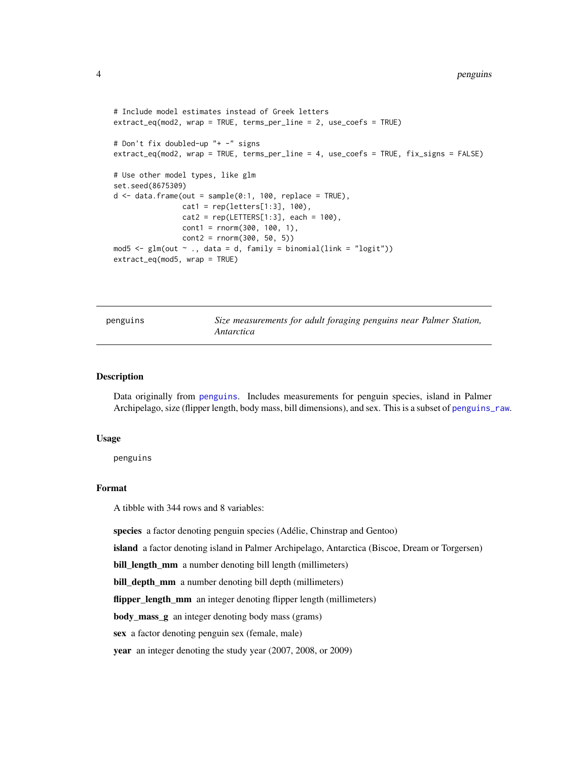```
# Include model estimates instead of Greek letters
extract_eq(mod2, wrap = TRUE, terms_per_line = 2, use_coefs = TRUE)
# Don't fix doubled-up "+ -" signs
extract_eq(mod2, wrap = TRUE, terms_per_line = 4, use_coefs = TRUE, fix_signs = FALSE)
# Use other model types, like glm
set.seed(8675309)
d \le - data.frame(out = sample(0:1, 100, replace = TRUE),
                cat1 = rep(leftters[1:3], 100),cat2 = rep(LETTERS[1:3], each = 100),cont1 = rnorm(300, 100, 1),cont2 = rnorm(300, 50, 5)mod5 <- glm(out \sim ., data = d, family = binomial(link = "logit"))extract_eq(mod5, wrap = TRUE)
```
<span id="page-3-1"></span>penguins *Size measurements for adult foraging penguins near Palmer Station, Antarctica*

#### **Description**

Data originally from [penguins](#page-3-1). Includes measurements for penguin species, island in Palmer Archipelago, size (flipper length, body mass, bill dimensions), and sex. This is a subset of [penguins\\_raw](#page-0-0).

#### Usage

penguins

#### Format

A tibble with 344 rows and 8 variables:

species a factor denoting penguin species (Adélie, Chinstrap and Gentoo)

island a factor denoting island in Palmer Archipelago, Antarctica (Biscoe, Dream or Torgersen)

bill\_length\_mm a number denoting bill length (millimeters)

bill\_depth\_mm a number denoting bill depth (millimeters)

flipper\_length\_mm an integer denoting flipper length (millimeters)

body\_mass\_g an integer denoting body mass (grams)

sex a factor denoting penguin sex (female, male)

year an integer denoting the study year (2007, 2008, or 2009)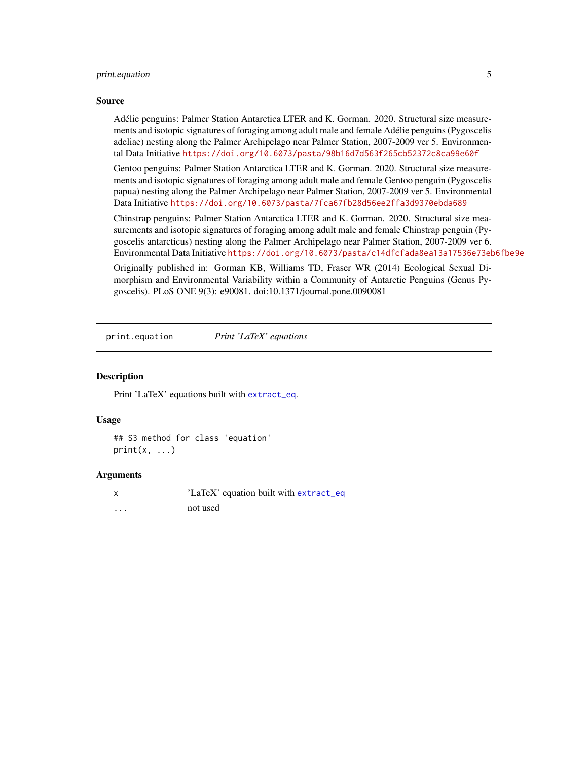#### <span id="page-4-0"></span>print.equation 5

#### Source

Adélie penguins: Palmer Station Antarctica LTER and K. Gorman. 2020. Structural size measurements and isotopic signatures of foraging among adult male and female Adélie penguins (Pygoscelis adeliae) nesting along the Palmer Archipelago near Palmer Station, 2007-2009 ver 5. Environmental Data Initiative <https://doi.org/10.6073/pasta/98b16d7d563f265cb52372c8ca99e60f>

Gentoo penguins: Palmer Station Antarctica LTER and K. Gorman. 2020. Structural size measurements and isotopic signatures of foraging among adult male and female Gentoo penguin (Pygoscelis papua) nesting along the Palmer Archipelago near Palmer Station, 2007-2009 ver 5. Environmental Data Initiative <https://doi.org/10.6073/pasta/7fca67fb28d56ee2ffa3d9370ebda689>

Chinstrap penguins: Palmer Station Antarctica LTER and K. Gorman. 2020. Structural size measurements and isotopic signatures of foraging among adult male and female Chinstrap penguin (Pygoscelis antarcticus) nesting along the Palmer Archipelago near Palmer Station, 2007-2009 ver 6. Environmental Data Initiative <https://doi.org/10.6073/pasta/c14dfcfada8ea13a17536e73eb6fbe9e>

Originally published in: Gorman KB, Williams TD, Fraser WR (2014) Ecological Sexual Dimorphism and Environmental Variability within a Community of Antarctic Penguins (Genus Pygoscelis). PLoS ONE 9(3): e90081. doi:10.1371/journal.pone.0090081

print.equation *Print 'LaTeX' equations*

#### **Description**

Print 'LaTeX' equations built with [extract\\_eq](#page-1-1).

#### Usage

```
## S3 method for class 'equation'
print(x, \ldots)
```
#### Arguments

x 'LaTeX' equation built with [extract\\_eq](#page-1-1) ... not used